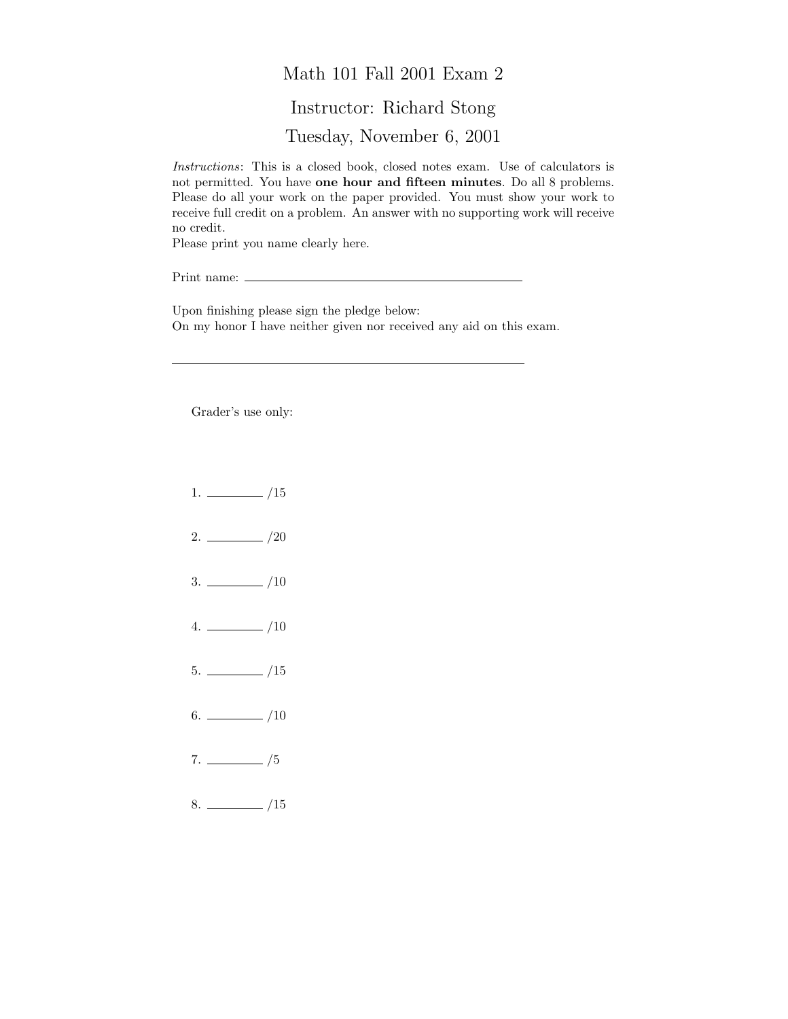## Math 101 Fall 2001 Exam 2 Instructor: Richard Stong Tuesday, November 6, 2001

Instructions: This is a closed book, closed notes exam. Use of calculators is not permitted. You have one hour and fifteen minutes. Do all 8 problems. Please do all your work on the paper provided. You must show your work to receive full credit on a problem. An answer with no supporting work will receive no credit.

Please print you name clearly here.

Print name:

Upon finishing please sign the pledge below: On my honor I have neither given nor received any aid on this exam.

Grader's use only:

- $1. \ \_ \ \_ \ /15$
- $2. \ \frac{\ }{\ }$  /20
- $3. \ \_$ /10
- $4. \ \_ 10$
- $5. \ \_$ /15
- $6.$  /10
- $7. \ \_/5$
- $8.$  /15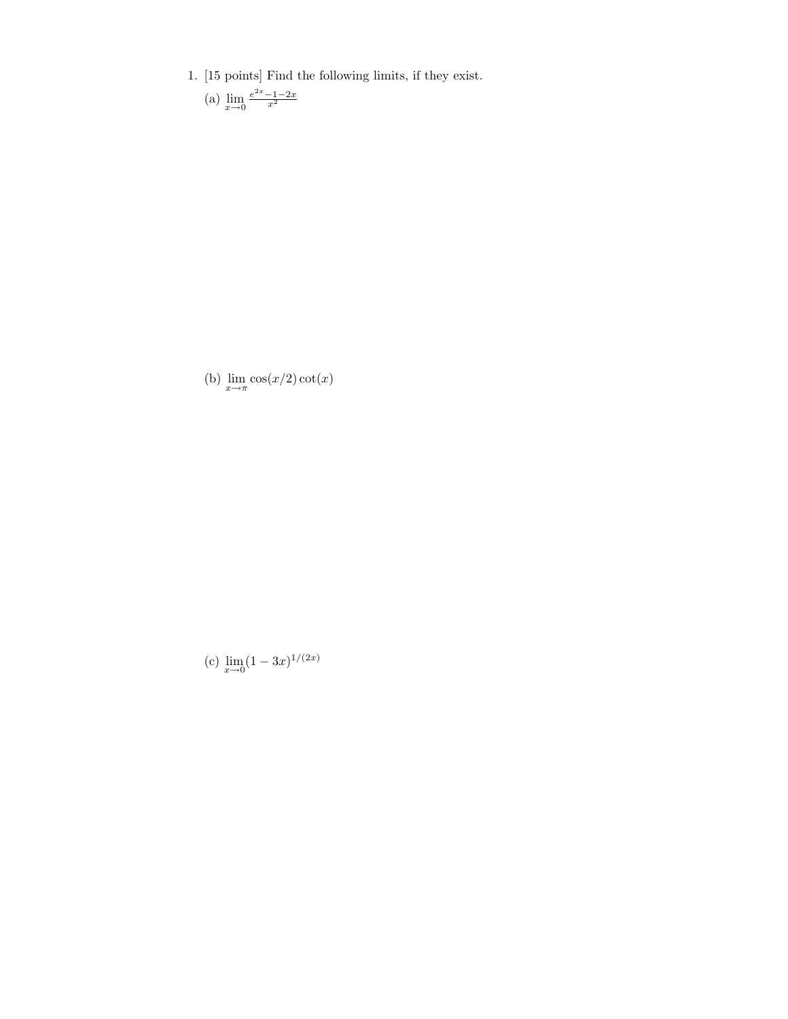- 1. [15 points] Find the following limits, if they exist.
	- (a)  $\lim_{x \to 0} \frac{e^{2x} 1 2x}{x^2}$

(b)  $\lim_{x \to \pi} \cos(x/2) \cot(x)$ 

(c)  $\lim_{x\to 0} (1-3x)^{1/(2x)}$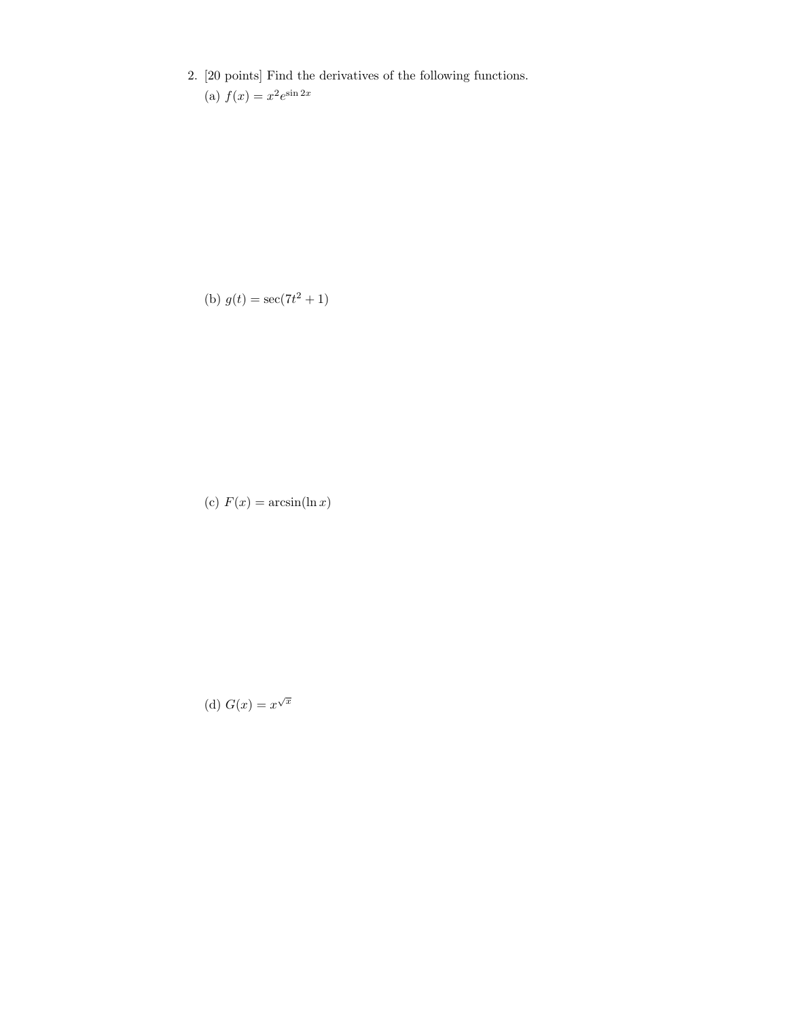2. [20 points] Find the derivatives of the following functions.

(a)  $f(x) = x^2 e^{\sin 2x}$ 

(b)  $g(t) = \sec(7t^2 + 1)$ 

(c)  $F(x) = \arcsin(\ln x)$ 

(d) 
$$
G(x) = x^{\sqrt{x}}
$$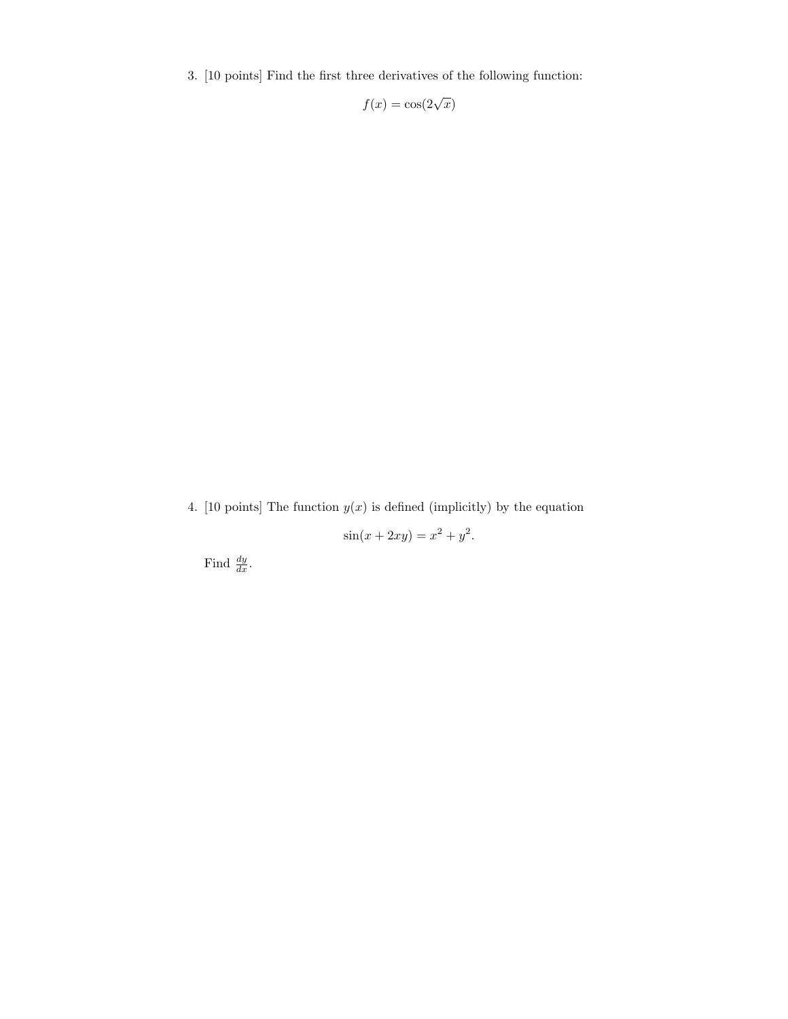3. [10 points] Find the first three derivatives of the following function:

$$
f(x) = \cos(2\sqrt{x})
$$

4. [10 points] The function  $y(x)$  is defined (implicitly) by the equation

$$
\sin(x + 2xy) = x^2 + y^2.
$$

Find  $\frac{dy}{dx}$ .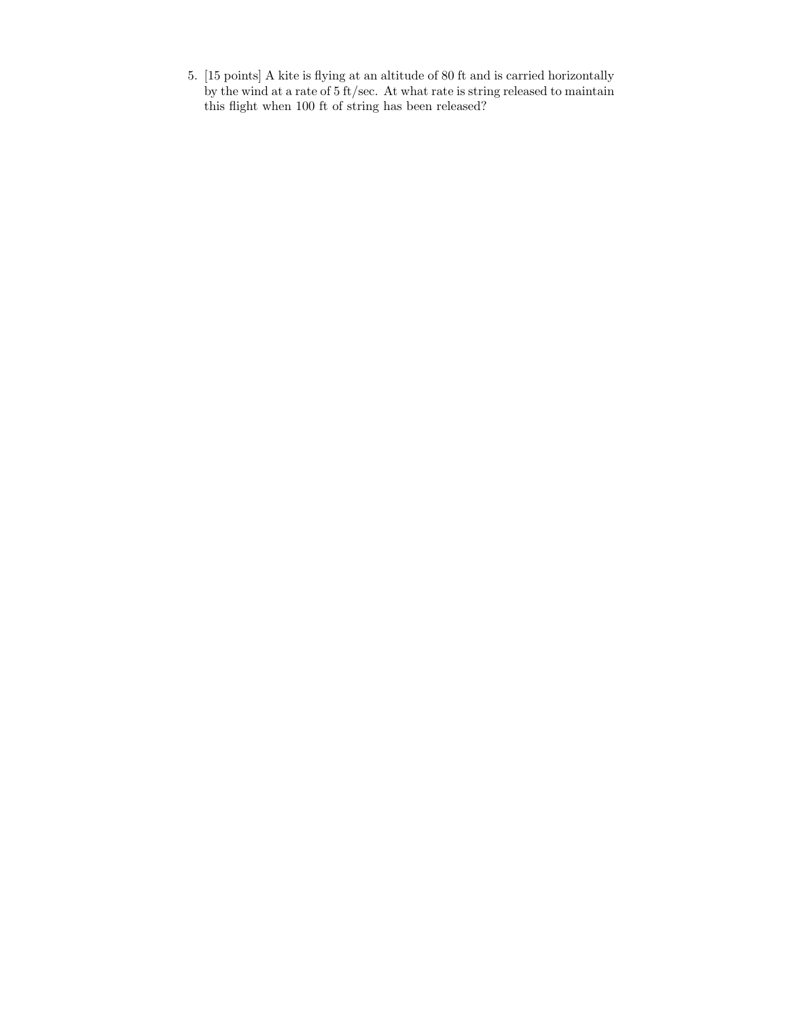5. [15 points] A kite is flying at an altitude of 80 ft and is carried horizontally by the wind at a rate of 5 ft/sec. At what rate is string released to maintain this flight when 100 ft of string has been released?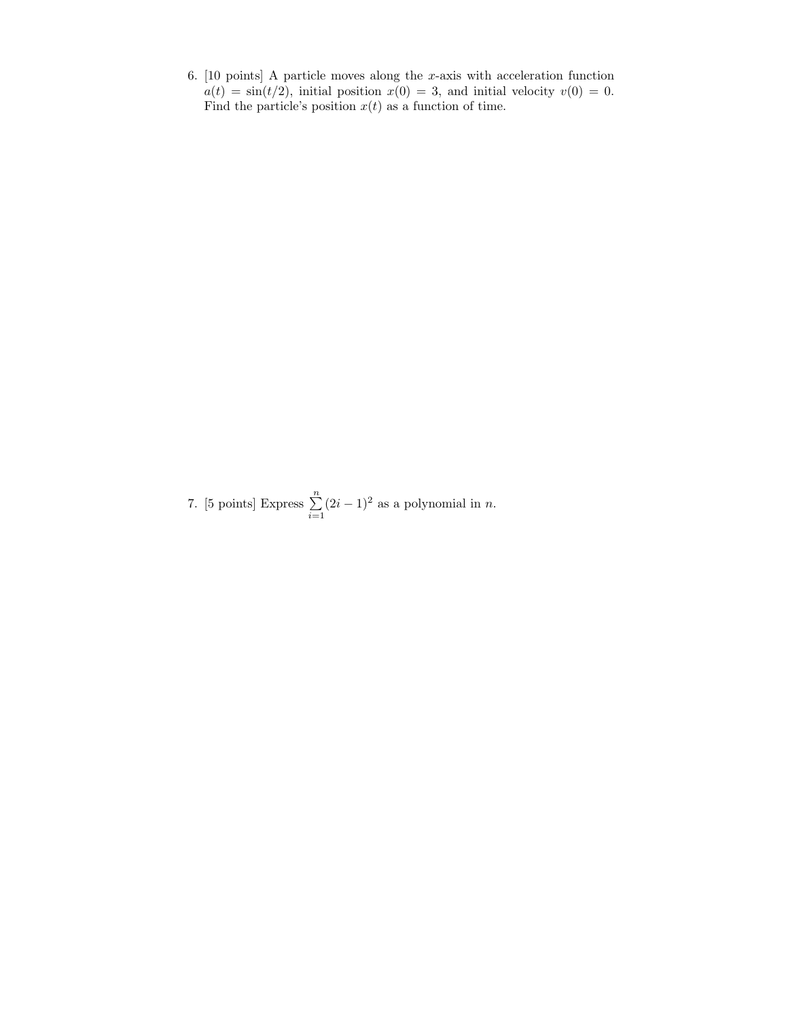6.  $[10 \text{ points}]$  A particle moves along the x-axis with acceleration function  $a(t) = \sin(t/2)$ , initial position  $x(0) = 3$ , and initial velocity  $v(0) = 0$ . Find the particle's position  $x(t)$  as a function of time.

7. [5 points] Express  $\sum_{n=1}^{\infty}$  $i=1$  $(2i - 1)^2$  as a polynomial in *n*.